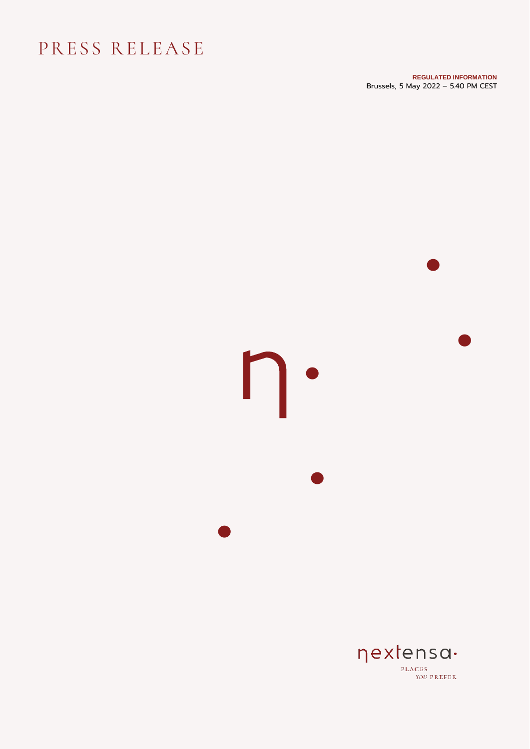## PRESS RELEASE

**REGULATED INFORMATION** Brussels, 5 May 2022 – 5.40 PM CEST

# •  $\mathsf{D}\cdot$ **•** • •